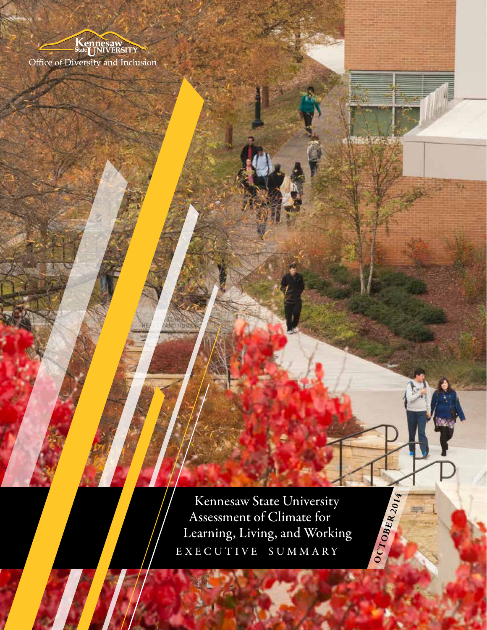

 Kennesaw State University Assessment of Climate for Learning, Living, and Working Kennesaw State University<br>Assessment of Climate for<br>Learning, Living, and Working<br>EXECUTIVE SUMMARY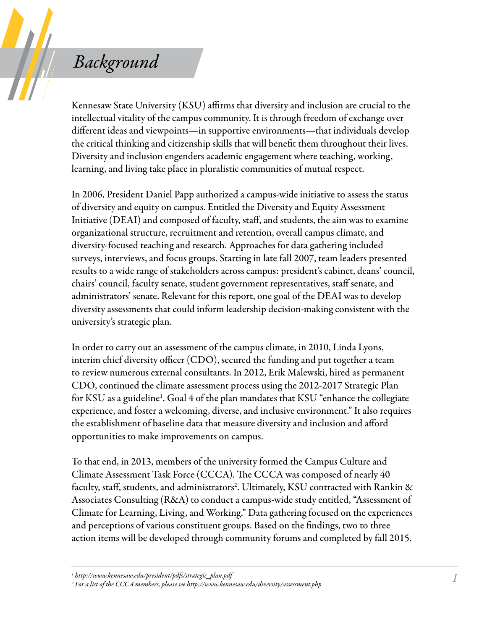## *Background*

Kennesaw State University (KSU) affirms that diversity and inclusion are crucial to the intellectual vitality of the campus community. It is through freedom of exchange over different ideas and viewpoints—in supportive environments—that individuals develop the critical thinking and citizenship skills that will benefit them throughout their lives. Diversity and inclusion engenders academic engagement where teaching, working, learning, and living take place in pluralistic communities of mutual respect.

In 2006, President Daniel Papp authorized a campus-wide initiative to assess the status of diversity and equity on campus. Entitled the Diversity and Equity Assessment Initiative (DEAI) and composed of faculty, staff, and students, the aim was to examine organizational structure, recruitment and retention, overall campus climate, and diversity-focused teaching and research. Approaches for data gathering included surveys, interviews, and focus groups. Starting in late fall 2007, team leaders presented results to a wide range of stakeholders across campus: president's cabinet, deans' council, chairs' council, faculty senate, student government representatives, staff senate, and administrators' senate. Relevant for this report, one goal of the DEAI was to develop diversity assessments that could inform leadership decision-making consistent with the university's strategic plan.

In order to carry out an assessment of the campus climate, in 2010, Linda Lyons, interim chief diversity officer (CDO), secured the funding and put together a team to review numerous external consultants. In 2012, Erik Malewski, hired as permanent CDO, continued the climate assessment process using the 2012-2017 Strategic Plan for KSU as a guideline<sup>1</sup>. Goal 4 of the plan mandates that KSU "enhance the collegiate experience, and foster a welcoming, diverse, and inclusive environment." It also requires the establishment of baseline data that measure diversity and inclusion and afford opportunities to make improvements on campus.

To that end, in 2013, members of the university formed the Campus Culture and Climate Assessment Task Force (CCCA). The CCCA was composed of nearly 40 faculty, staff, students, and administrators<sup>2</sup>. Ultimately, KSU contracted with Rankin & Associates Consulting (R&A) to conduct a campus-wide study entitled, "Assessment of Climate for Learning, Living, and Working." Data gathering focused on the experiences and perceptions of various constituent groups. Based on the findings, two to three action items will be developed through community forums and completed by fall 2015.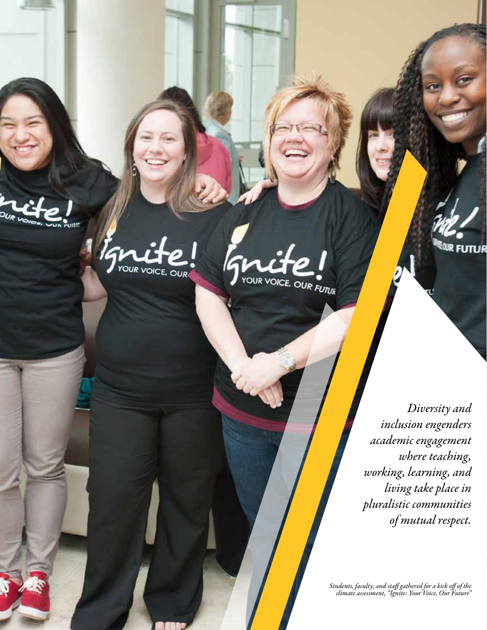OUR **unn** 

YOUR VOICE, OUR



*Diversity and inclusion engenders academic engagement where teaching, working, learning, and living take place in pluralistic communities of mutual respect.* 

FUTUR

*Students, faculty, and staff gathered for a kick off of the climate assessment, "Ignite: Your Voice, Our Future"*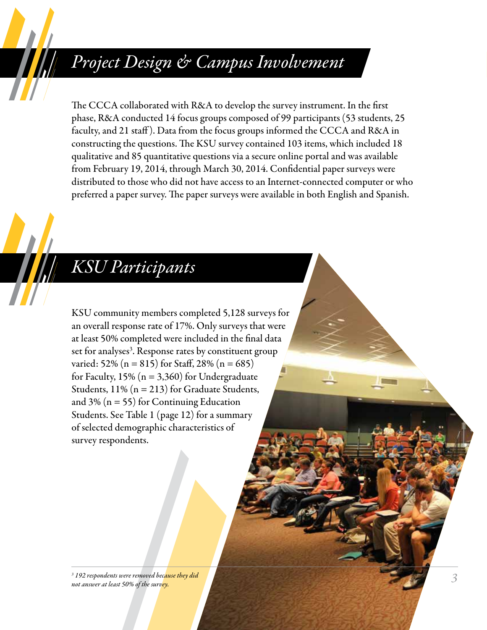## *Project Design & Campus Involvement*

The CCCA collaborated with R&A to develop the survey instrument. In the first phase, R&A conducted 14 focus groups composed of 99 participants (53 students, 25 faculty, and 21 staff ). Data from the focus groups informed the CCCA and R&A in constructing the questions. The KSU survey contained 103 items, which included 18 qualitative and 85 quantitative questions via a secure online portal and was available from February 19, 2014, through March 30, 2014. Confidential paper surveys were distributed to those who did not have access to an Internet-connected computer or who preferred a paper survey. The paper surveys were available in both English and Spanish.

# *KSU Participants*

KSU community members completed 5,128 surveys for an overall response rate of 17%. Only surveys that were at least 50% completed were included in the final data set for analyses<sup>3</sup>. Response rates by constituent group varied: 52% (n = 815) for Staff, 28% (n = 685) for Faculty,  $15\%$  (n = 3,360) for Undergraduate Students, 11% (n = 213) for Graduate Students, and 3% ( $n = 55$ ) for Continuing Education Students. See Table 1 (page 12) for a summary of selected demographic characteristics of survey respondents.

*3 192 respondents were removed because they did not answer at least 50% of the survey.*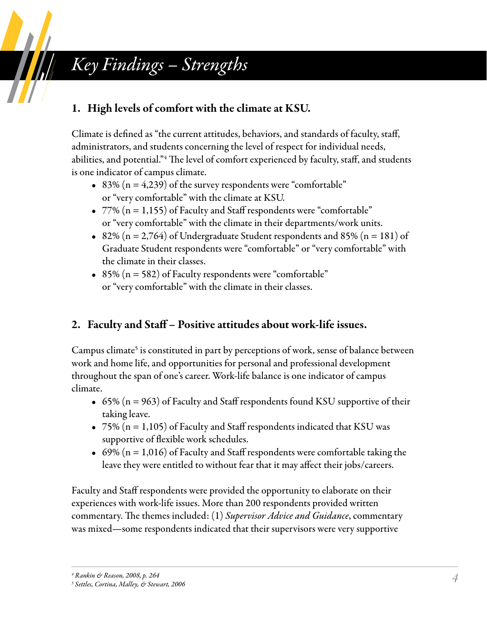# *Key Findings – Strengths*

### 1. High levels of comfort with the climate at KSU.

Climate is defined as "the current attitudes, behaviors, and standards of faculty, staff, administrators, and students concerning the level of respect for individual needs, abilities, and potential."4 The level of comfort experienced by faculty, staff, and students is one indicator of campus climate.

- 83% ( $n = 4,239$ ) of the survey respondents were "comfortable" or "very comfortable" with the climate at KSU.
- $77\%$  (n = 1,155) of Faculty and Staff respondents were "comfortable" or "very comfortable" with the climate in their departments/work units.
- 82% (n = 2,764) of Undergraduate Student respondents and 85% (n = 181) of Graduate Student respondents were "comfortable" or "very comfortable" with the climate in their classes.
- 85% ( $n = 582$ ) of Faculty respondents were "comfortable" or "very comfortable" with the climate in their classes.

### 2. Faculty and Staff – Positive attitudes about work-life issues.

Campus climate<sup>5</sup> is constituted in part by perceptions of work, sense of balance between work and home life, and opportunities for personal and professional development throughout the span of one's career. Work-life balance is one indicator of campus climate.

- 65% ( $n = 963$ ) of Faculty and Staff respondents found KSU supportive of their taking leave.
- 75% ( $n = 1,105$ ) of Faculty and Staff respondents indicated that KSU was supportive of flexible work schedules.
- 69% ( $n = 1,016$ ) of Faculty and Staff respondents were comfortable taking the leave they were entitled to without fear that it may affect their jobs/careers.

Faculty and Staff respondents were provided the opportunity to elaborate on their experiences with work-life issues. More than 200 respondents provided written commentary. The themes included: (1) *Supervisor Advice and Guidance*, commentary was mixed—some respondents indicated that their supervisors were very supportive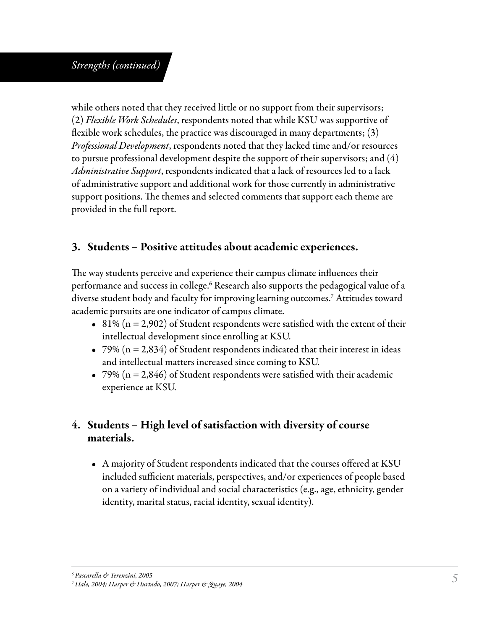#### *Strengths (continued)*

while others noted that they received little or no support from their supervisors; (2) *Flexible Work Schedules*, respondents noted that while KSU was supportive of flexible work schedules, the practice was discouraged in many departments; (3) *Professional Development*, respondents noted that they lacked time and/or resources to pursue professional development despite the support of their supervisors; and (4) *Administrative Support*, respondents indicated that a lack of resources led to a lack of administrative support and additional work for those currently in administrative support positions. The themes and selected comments that support each theme are provided in the full report.

### 3. Students – Positive attitudes about academic experiences.

The way students perceive and experience their campus climate influences their performance and success in college.<sup>6</sup> Research also supports the pedagogical value of a diverse student body and faculty for improving learning outcomes.7 Attitudes toward academic pursuits are one indicator of campus climate.

- 81% ( $n = 2,902$ ) of Student respondents were satisfied with the extent of their intellectual development since enrolling at KSU.
- 79% ( $n = 2,834$ ) of Student respondents indicated that their interest in ideas and intellectual matters increased since coming to KSU.
- 79% ( $n = 2,846$ ) of Student respondents were satisfied with their academic experience at KSU.

### 4. Students – High level of satisfaction with diversity of course materials.

• A majority of Student respondents indicated that the courses offered at KSU included sufficient materials, perspectives, and/or experiences of people based on a variety of individual and social characteristics (e.g., age, ethnicity, gender identity, marital status, racial identity, sexual identity).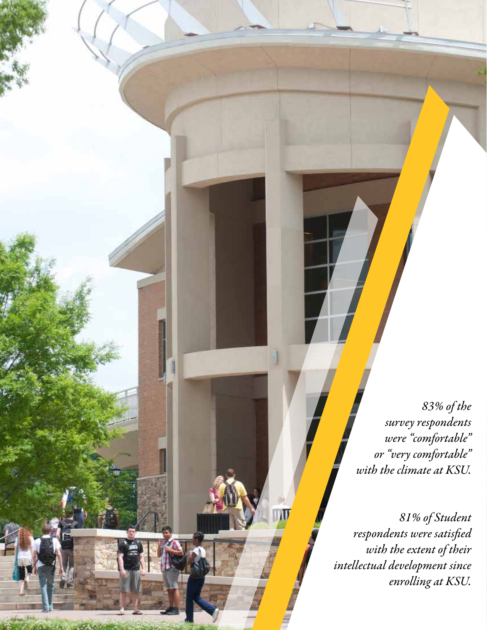*83% of the survey respondents were "comfortable" or "very comfortable" with the climate at KSU.* 

*81% of Student respondents were satisfied with the extent of their intellectual development since enrolling at KSU.*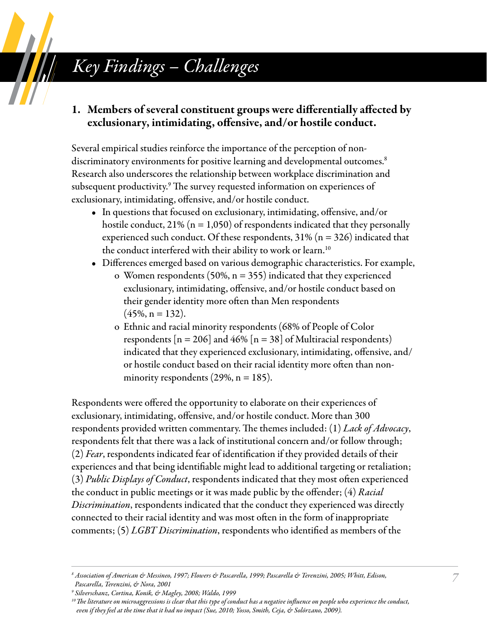# *Key Findings – Challenges*

#### 1. Members of several constituent groups were differentially affected by exclusionary, intimidating, offensive, and/or hostile conduct.

Several empirical studies reinforce the importance of the perception of nondiscriminatory environments for positive learning and developmental outcomes.<sup>8</sup> Research also underscores the relationship between workplace discrimination and subsequent productivity.9 The survey requested information on experiences of exclusionary, intimidating, offensive, and/or hostile conduct.

- In questions that focused on exclusionary, intimidating, offensive, and/or hostile conduct, 21% ( $n = 1,050$ ) of respondents indicated that they personally experienced such conduct. Of these respondents,  $31\%$  (n = 326) indicated that the conduct interfered with their ability to work or learn.<sup>10</sup>
- Differences emerged based on various demographic characteristics. For example,
	- o Women respondents (50%,  $n = 355$ ) indicated that they experienced exclusionary, intimidating, offensive, and/or hostile conduct based on their gender identity more often than Men respondents  $(45\%, n = 132)$ .
	- o Ethnic and racial minority respondents (68% of People of Color respondents  $[n = 206]$  and 46%  $[n = 38]$  of Multiracial respondents) indicated that they experienced exclusionary, intimidating, offensive, and/ or hostile conduct based on their racial identity more often than nonminority respondents (29%,  $n = 185$ ).

Respondents were offered the opportunity to elaborate on their experiences of exclusionary, intimidating, offensive, and/or hostile conduct. More than 300 respondents provided written commentary. The themes included: (1) *Lack of Advocacy*, respondents felt that there was a lack of institutional concern and/or follow through; (2) *Fear*, respondents indicated fear of identification if they provided details of their experiences and that being identifiable might lead to additional targeting or retaliation; (3) *Public Displays of Conduct*, respondents indicated that they most often experienced the conduct in public meetings or it was made public by the offender; (4) *Racial Discrimination*, respondents indicated that the conduct they experienced was directly connected to their racial identity and was most often in the form of inappropriate comments; (5) *LGBT Discrimination*, respondents who identified as members of the

*7*

*<sup>8</sup> Association of American & Messineo, 1997; Flowers & Pascarella, 1999; Pascarella & Terenzini, 2005; Whitt, Edison, Pascarella, Terenzini, & Nora, 2001*

*<sup>9</sup> Silverschanz, Cortina, Konik, & Magley, 2008; Waldo, 1999*

*<sup>10</sup> The literature on microaggressions is clear that this type of conduct has a negative influence on people who experience the conduct, even if they feel at the time that it had no impact (Sue, 2010; Yosso, Smith, Ceja, & Solórzano, 2009).*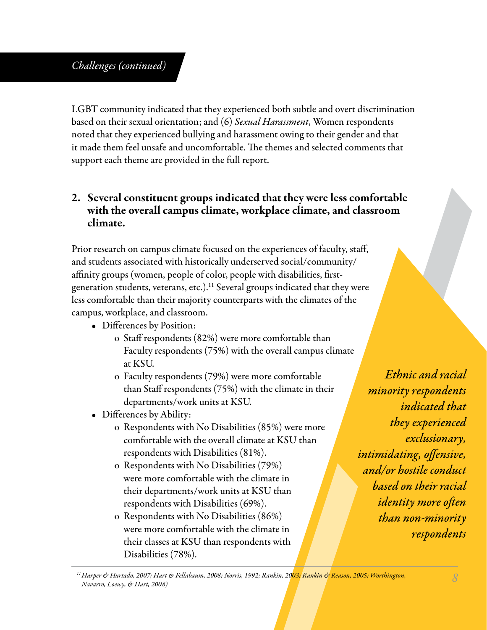### *Challenges (continued)*

LGBT community indicated that they experienced both subtle and overt discrimination based on their sexual orientation; and (6) *Sexual Harassment*, Women respondents noted that they experienced bullying and harassment owing to their gender and that it made them feel unsafe and uncomfortable. The themes and selected comments that support each theme are provided in the full report.

### 2. Several constituent groups indicated that they were less comfortable with the overall campus climate, workplace climate, and classroom climate.

Prior research on campus climate focused on the experiences of faculty, staff, and students associated with historically underserved social/community/ affinity groups (women, people of color, people with disabilities, firstgeneration students, veterans, etc.).<sup>11</sup> Several groups indicated that they were less comfortable than their majority counterparts with the climates of the campus, workplace, and classroom.

- Differences by Position:
	- o Staff respondents (82%) were more comfortable than Faculty respondents (75%) with the overall campus climate at KSU.
	- o Faculty respondents (79%) were more comfortable than Staff respondents (75%) with the climate in their departments/work units at KSU.
- Differences by Ability:
	- o Respondents with No Disabilities (85%) were more comfortable with the overall climate at KSU than respondents with Disabilities (81%).
	- o Respondents with No Disabilities (79%) were more comfortable with the climate in their departments/work units at KSU than respondents with Disabilities (69%).
	- o Respondents with No Disabilities (86%) were more comfortable with the climate in their classes at KSU than respondents with Disabilities (78%).

Ethnic and racial minority respondents indicated that they experienced exclusionary, intimidating, offensive, and/or hostile conduct based on their racial *identity more often* than non-minority respondents

*<sup>11</sup> Harper & Hurtado, 2007; Hart & Fellabaum, 2008; Norris, 1992; Rankin, 2003; Rankin & Reason, 2005; Worthington, Navarro, Loewy, & Hart, 2008) 8*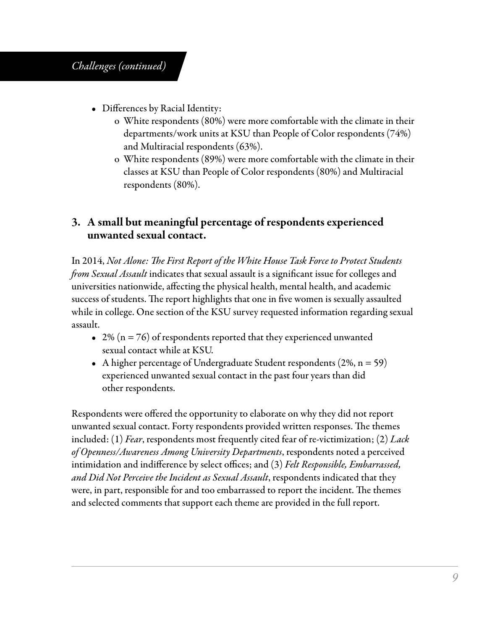### *Challenges (continued)*

- Differences by Racial Identity:
	- o White respondents (80%) were more comfortable with the climate in their departments/work units at KSU than People of Color respondents (74%) and Multiracial respondents (63%).
	- o White respondents (89%) were more comfortable with the climate in their classes at KSU than People of Color respondents (80%) and Multiracial respondents (80%).

#### 3. A small but meaningful percentage of respondents experienced unwanted sexual contact.

In 2014, *Not Alone: The First Report of the White House Task Force to Protect Students from Sexual Assault* indicates that sexual assault is a significant issue for colleges and universities nationwide, affecting the physical health, mental health, and academic success of students. The report highlights that one in five women is sexually assaulted while in college. One section of the KSU survey requested information regarding sexual assault.

- 2% ( $n = 76$ ) of respondents reported that they experienced unwanted sexual contact while at KSU.
- A higher percentage of Undergraduate Student respondents  $(2\%, n = 59)$ experienced unwanted sexual contact in the past four years than did other respondents.

Respondents were offered the opportunity to elaborate on why they did not report unwanted sexual contact. Forty respondents provided written responses. The themes included: (1) *Fear*, respondents most frequently cited fear of re-victimization; (2) *Lack of Openness/Awareness Among University Departments*, respondents noted a perceived intimidation and indifference by select offices; and (3) *Felt Responsible, Embarrassed, and Did Not Perceive the Incident as Sexual Assault*, respondents indicated that they were, in part, responsible for and too embarrassed to report the incident. The themes and selected comments that support each theme are provided in the full report.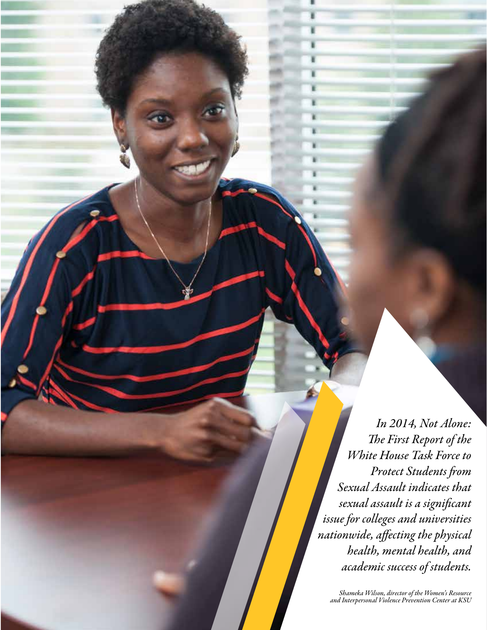*In 2014, Not Alone: The First Report of the White House Task Force to Protect Students from Sexual Assault indicates that sexual assault is a significant issue for colleges and universities nationwide, affecting the physical health, mental health, and academic success of students.*

*Shameka Wilson, director of the Women's Resource and Interpersonal Violence Prevention Center at KSU*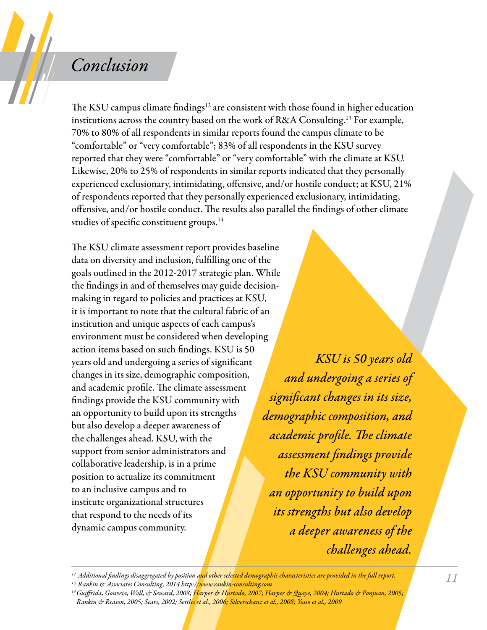### *Conclusion*

The KSU campus climate findings<sup>12</sup> are consistent with those found in higher education institutions across the country based on the work of R&A Consulting.13 For example, 70% to 80% of all respondents in similar reports found the campus climate to be "comfortable" or "very comfortable"; 83% of all respondents in the KSU survey reported that they were "comfortable" or "very comfortable" with the climate at KSU. Likewise, 20% to 25% of respondents in similar reports indicated that they personally experienced exclusionary, intimidating, offensive, and/or hostile conduct; at KSU, 21% of respondents reported that they personally experienced exclusionary, intimidating, offensive, and/or hostile conduct. The results also parallel the findings of other climate studies of specific constituent groups.<sup>14</sup>

The KSU climate assessment report provides baseline data on diversity and inclusion, fulfilling one of the goals outlined in the 2012-2017 strategic plan. While the findings in and of themselves may guide decisionmaking in regard to policies and practices at KSU, it is important to note that the cultural fabric of an institution and unique aspects of each campus's environment must be considered when developing action items based on such findings. KSU is 50 years old and undergoing a series of significant changes in its size, demographic composition, and academic profile. The climate assessment findings provide the KSU community with an opportunity to build upon its strengths but also develop a deeper awareness of the challenges ahead. KSU, with the support from senior administrators and collaborative leadership, is in a prime position to actualize its commitment to an inclusive campus and to institute organizational structures that respond to the needs of its dynamic campus community.

KSU is 50 years old and undergoing a series of significant changes in its size, demographic composition, and academic profile. The climate assessment findings provide the KSU community with an opportunity to build upon its strengths but also develop a deeper awareness of the challenges ahead.

*12 Additional findings disaggregated by position and other selected demographic characteristics are provided in the full report.*

*14 Guiffrida, Gouveia, Wall, & Seward, 2008; Harper & Hurtado, 2007; Harper & Quaye, 2004; Hurtado & Ponjuan, 2005; Rankin & Reason, 2005; Sears, 2002; Settles et al., 2006; Silverschanz et al., 2008; Yosso et al., 2009*

*<sup>13</sup> Rankin & Associates Consulting, 2014 http://www.rankin-consulting.com*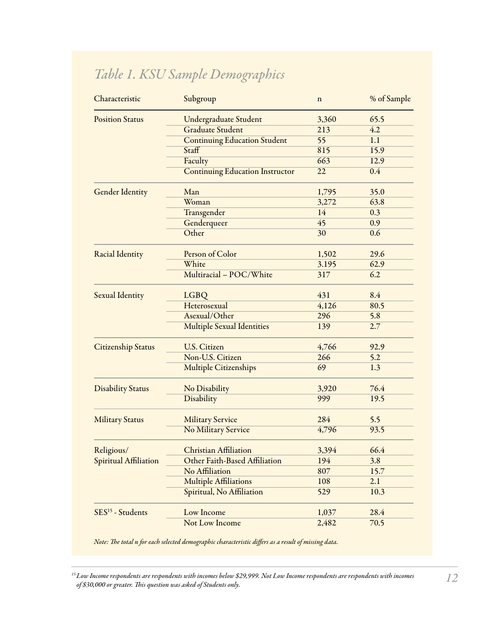### *Table 1. KSU Sample Demographics*

| Characteristic               | Subgroup                               | $\mathbf n$     | % of Sample |
|------------------------------|----------------------------------------|-----------------|-------------|
| <b>Position Status</b>       | <b>Undergraduate Student</b>           | 3,360           | 65.5        |
|                              | <b>Graduate Student</b>                | 213             | 4.2         |
|                              | <b>Continuing Education Student</b>    | 55              | 1.1         |
|                              | Staff                                  | 815             | 15.9        |
|                              | Faculty                                | 663             | 12.9        |
|                              | <b>Continuing Education Instructor</b> | $\overline{22}$ | 0.4         |
| <b>Gender Identity</b>       | Man                                    | 1,795           | 35.0        |
|                              | Woman                                  | 3,272           | 63.8        |
|                              | Transgender                            | 14              | 0.3         |
|                              | Genderqueer                            | 45              | 0.9         |
|                              | Other                                  | 30              | 0.6         |
| Racial Identity              | Person of Color                        | 1,502           | 29.6        |
|                              | White                                  | 3.195           | 62.9        |
|                              | Multiracial - POC/White                | 317             | 6.2         |
| <b>Sexual Identity</b>       | <b>LGBQ</b>                            | 431             | 8.4         |
|                              | Heterosexual                           | 4,126           | 80.5        |
|                              | Asexual/Other                          | 296             | 5.8         |
|                              | Multiple Sexual Identities             | 139             | 2.7         |
| <b>Citizenship Status</b>    | <b>U.S. Citizen</b>                    | 4,766           | 92.9        |
|                              | Non-U.S. Citizen                       | 266             | 5.2         |
|                              | <b>Multiple Citizenships</b>           | 69              | 1.3         |
| <b>Disability Status</b>     | No Disability                          | 3,920           | 76.4        |
|                              | Disability                             | 999             | 19.5        |
| <b>Military Status</b>       | <b>Military Service</b>                | 284             | 5.5         |
|                              | No Military Service                    | 4,796           | 93.5        |
| Religious/                   | <b>Christian Affiliation</b>           | 3,394           | 66.4        |
| Spiritual Affiliation        | Other Faith-Based Affiliation          | 194             | 3.8         |
|                              | No Affiliation                         | 807             | 15.7        |
|                              | <b>Multiple Affiliations</b>           | 108             | 2.1         |
|                              | Spiritual, No Affiliation              | 529             | 10.3        |
| SES <sup>15</sup> - Students | Low Income                             | 1,037           | 28.4        |
|                              | Not Low Income                         | 2,482           | 70.5        |

*Note: The total n for each selected demographic characteristic differs as a result of missing data.*

<sup>&</sup>lt;sup>15</sup> Low Income respondents are respondents with incomes below \$29,999. Not Low Income respondents are respondents with incomes *[20] .*<br>of \$30,000 or greater. This question was asked of Students only.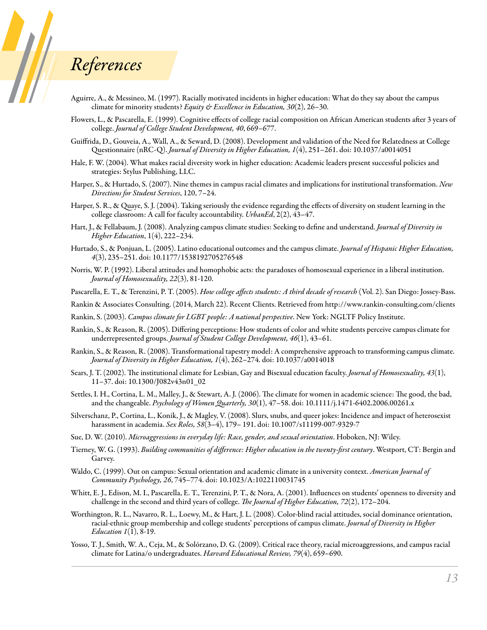### *References*

**September 1999** 

- Aguirre, A., & Messineo, M. (1997). Racially motivated incidents in higher education: What do they say about the campus climate for minority students? *Equity & Excellence in Education, 30*(2), 26–30.
- Flowers, L., & Pascarella, E. (1999). Cognitive effects of college racial composition on African American students after 3 years of college. *Journal of College Student Development, 40*, 669–677.
- Guiffrida, D., Gouveia, A., Wall, A., & Seward, D. (2008). Development and validation of the Need for Relatedness at College Questionnaire (nRC-Q). *Journal of Diversity in Higher Education, 1*(4), 251–261. doi: 10.1037/a0014051
- Hale, F. W. (2004). What makes racial diversity work in higher education: Academic leaders present successful policies and strategies: Stylus Publishing, LLC.
- Harper, S., & Hurtado, S. (2007). Nine themes in campus racial climates and implications for institutional transformation. *New Directions for Student Services*, 120, 7–24.
- Harper, S. R., & Quaye, S. J. (2004). Taking seriously the evidence regarding the effects of diversity on student learning in the college classroom: A call for faculty accountability. *UrbanEd*, 2(2), 43–47.
- Hart, J., & Fellabaum, J. (2008). Analyzing campus climate studies: Seeking to define and understand. *Journal of Diversity in Higher Education*, 1(4), 222–234.
- Hurtado, S., & Ponjuan, L. (2005). Latino educational outcomes and the campus climate. *Journal of Hispanic Higher Education, 4*(3), 235–251. doi: 10.1177/1538192705276548
- Norris, W. P. (1992). Liberal attitudes and homophobic acts: the paradoxes of homosexual experience in a liberal institution. *Journal of Homosexuality, 22*(3), 81-120.

Pascarella, E. T., & Terenzini, P. T. (2005). *How college affects students: A third decade of research* (Vol. 2). San Diego: Jossey-Bass.

- Rankin & Associates Consulting. (2014, March 22). Recent Clients. Retrieved from http://www.rankin-consulting.com/clients
- Rankin, S. (2003). *Campus climate for LGBT people: A national perspective*. New York: NGLTF Policy Institute.
- Rankin, S., & Reason, R. (2005). Differing perceptions: How students of color and white students perceive campus climate for underrepresented groups. *Journal of Student College Development, 46*(1), 43–61.
- Rankin, S., & Reason, R. (2008). Transformational tapestry model: A comprehensive approach to transforming campus climate. *Journal of Diversity in Higher Education, 1*(4), 262–274. doi: 10.1037/a0014018
- Sears, J. T. (2002). The institutional climate for Lesbian, Gay and Bisexual education faculty. *Journal of Homosexuality, 43*(1), 11–37. doi: 10.1300/J082v43n01\_02
- Settles, I. H., Cortina, L. M., Malley, J., & Stewart, A. J. (2006). The climate for women in academic science: The good, the bad, and the changeable. *Psychology of Women Quarterly, 30*(1), 47–58. doi: 10.1111/j.1471-6402.2006.00261.x
- Silverschanz, P., Cortina, L., Konik, J., & Magley, V. (2008). Slurs, snubs, and queer jokes: Incidence and impact of heterosexist harassment in academia. *Sex Roles, 58*(3–4), 179– 191. doi: 10.1007/s11199-007-9329-7
- Sue, D. W. (2010). *Microaggressions in everyday life: Race, gender, and sexual orientation*. Hoboken, NJ: Wiley.
- Tierney, W. G. (1993). *Building communities of difference: Higher education in the twenty-first century*. Westport, CT: Bergin and Garvey.
- Waldo, C. (1999). Out on campus: Sexual orientation and academic climate in a university context. *American Journal of Community Psychology, 26*, 745–774. doi: 10.1023/A:1022110031745
- Whitt, E. J., Edison, M. I., Pascarella, E. T., Terenzini, P. T., & Nora, A. (2001). Influences on students' openness to diversity and challenge in the second and third years of college. *The Journal of Higher Education, 72*(2), 172–204.
- Worthington, R. L., Navarro, R. L., Loewy, M., & Hart, J. L. (2008). Color-blind racial attitudes, social dominance orientation, racial-ethnic group membership and college students' perceptions of campus climate. *Journal of Diversity in Higher Education 1*(1), 8-19.
- Yosso, T. J., Smith, W. A., Ceja, M., & Solórzano, D. G. (2009). Critical race theory, racial microaggressions, and campus racial climate for Latina/o undergraduates. *Harvard Educational Review, 79*(4), 659–690.